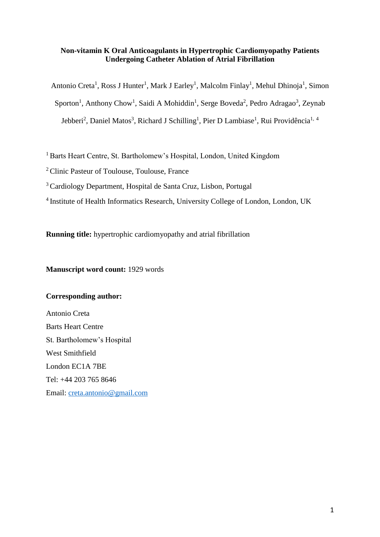# **Non-vitamin K Oral Anticoagulants in Hypertrophic Cardiomyopathy Patients Undergoing Catheter Ablation of Atrial Fibrillation**

Antonio Creta<sup>1</sup>, Ross J Hunter<sup>1</sup>, Mark J Earley<sup>1</sup>, Malcolm Finlay<sup>1</sup>, Mehul Dhinoja<sup>1</sup>, Simon Sporton<sup>1</sup>, Anthony Chow<sup>1</sup>, Saidi A Mohiddin<sup>1</sup>, Serge Boveda<sup>2</sup>, Pedro Adragao<sup>3</sup>, Zeynab Jebberi<sup>2</sup>, Daniel Matos<sup>3</sup>, Richard J Schilling<sup>1</sup>, Pier D Lambiase<sup>1</sup>, Rui Providência<sup>1, 4</sup>

<sup>1</sup> Barts Heart Centre, St. Bartholomew's Hospital, London, United Kingdom

<sup>2</sup> Clinic Pasteur of Toulouse, Toulouse, France

<sup>3</sup> Cardiology Department, Hospital de Santa Cruz, Lisbon, Portugal

<sup>4</sup> Institute of Health Informatics Research, University College of London, London, UK

**Running title:** hypertrophic cardiomyopathy and atrial fibrillation

**Manuscript word count:** 1929 words

## **Corresponding author:**

Antonio Creta Barts Heart Centre St. Bartholomew's Hospital West Smithfield London EC1A 7BE Tel: +44 203 765 8646 Email: [creta.antonio@gmail.com](mailto:creta.antonio@gmail.com)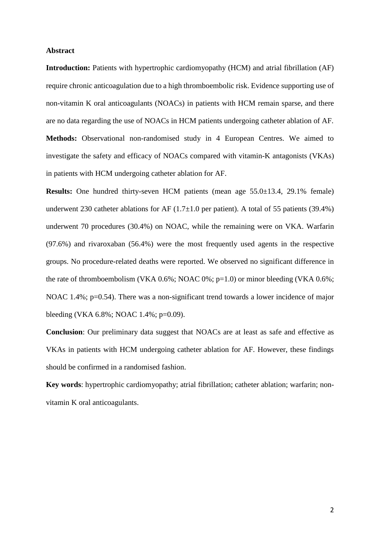### **Abstract**

**Introduction:** Patients with hypertrophic cardiomyopathy (HCM) and atrial fibrillation (AF) require chronic anticoagulation due to a high thromboembolic risk. Evidence supporting use of non-vitamin K oral anticoagulants (NOACs) in patients with HCM remain sparse, and there are no data regarding the use of NOACs in HCM patients undergoing catheter ablation of AF. **Methods:** Observational non-randomised study in 4 European Centres. We aimed to investigate the safety and efficacy of NOACs compared with vitamin-K antagonists (VKAs) in patients with HCM undergoing catheter ablation for AF.

**Results:** One hundred thirty-seven HCM patients (mean age 55.0±13.4, 29.1% female) underwent 230 catheter ablations for AF  $(1.7\pm1.0$  per patient). A total of 55 patients (39.4%) underwent 70 procedures (30.4%) on NOAC, while the remaining were on VKA. Warfarin (97.6%) and rivaroxaban (56.4%) were the most frequently used agents in the respective groups. No procedure-related deaths were reported. We observed no significant difference in the rate of thromboembolism (VKA 0.6%; NOAC 0%; p=1.0) or minor bleeding (VKA 0.6%; NOAC 1.4%;  $p=0.54$ ). There was a non-significant trend towards a lower incidence of major bleeding (VKA 6.8%; NOAC 1.4%; p=0.09).

**Conclusion**: Our preliminary data suggest that NOACs are at least as safe and effective as VKAs in patients with HCM undergoing catheter ablation for AF. However, these findings should be confirmed in a randomised fashion.

**Key words**: hypertrophic cardiomyopathy; atrial fibrillation; catheter ablation; warfarin; nonvitamin K oral anticoagulants.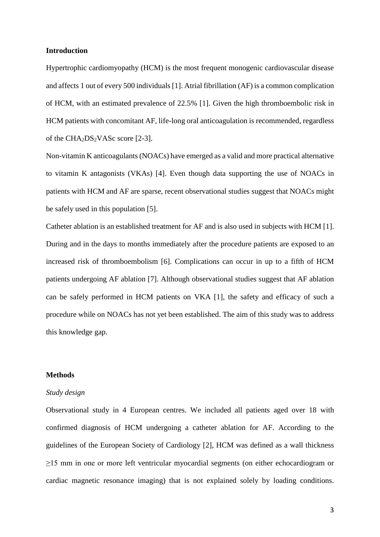### **Introduction**

Hypertrophic cardiomyopathy (HCM) is the most frequent monogenic cardiovascular disease and affects 1 out of every 500 individuals [1]. Atrial fibrillation (AF) is a common complication of HCM, with an estimated prevalence of 22.5% [1]. Given the high thromboembolic risk in HCM patients with concomitant AF, life-long oral anticoagulation is recommended, regardless of the  $CHA<sub>2</sub>DS<sub>2</sub>VASc score [2-3].$ 

Non-vitamin K anticoagulants (NOACs) have emerged as a valid and more practical alternative to vitamin K antagonists (VKAs) [4]. Even though data supporting the use of NOACs in patients with HCM and AF are sparse, recent observational studies suggest that NOACs might be safely used in this population [5].

Catheter ablation is an established treatment for AF and is also used in subjects with HCM [1]. During and in the days to months immediately after the procedure patients are exposed to an increased risk of thromboembolism [6]. Complications can occur in up to a fifth of HCM patients undergoing AF ablation [7]. Although observational studies suggest that AF ablation can be safely performed in HCM patients on VKA [1], the safety and efficacy of such a procedure while on NOACs has not yet been established. The aim of this study was to address this knowledge gap.

# **Methods**

#### *Study design*

Observational study in 4 European centres. We included all patients aged over 18 with confirmed diagnosis of HCM undergoing a catheter ablation for AF. According to the guidelines of the European Society of Cardiology [2], HCM was defined as a wall thickness ≥15 mm in one or more left ventricular myocardial segments (on either echocardiogram or cardiac magnetic resonance imaging) that is not explained solely by loading conditions.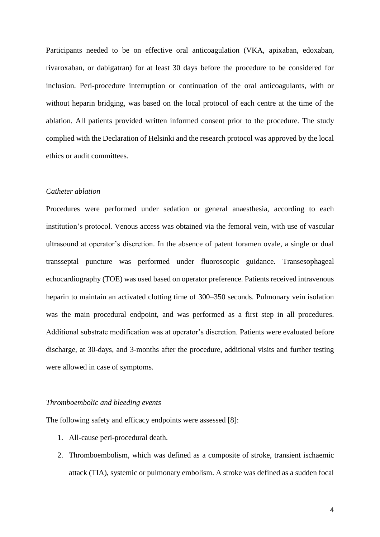Participants needed to be on effective oral anticoagulation (VKA, apixaban, edoxaban, rivaroxaban, or dabigatran) for at least 30 days before the procedure to be considered for inclusion. Peri-procedure interruption or continuation of the oral anticoagulants, with or without heparin bridging, was based on the local protocol of each centre at the time of the ablation. All patients provided written informed consent prior to the procedure. The study complied with the Declaration of Helsinki and the research protocol was approved by the local ethics or audit committees.

## *Catheter ablation*

Procedures were performed under sedation or general anaesthesia, according to each institution's protocol. Venous access was obtained via the femoral vein, with use of vascular ultrasound at operator's discretion. In the absence of patent foramen ovale, a single or dual transseptal puncture was performed under fluoroscopic guidance. Transesophageal echocardiography (TOE) was used based on operator preference. Patients received intravenous heparin to maintain an activated clotting time of 300–350 seconds. Pulmonary vein isolation was the main procedural endpoint, and was performed as a first step in all procedures. Additional substrate modification was at operator's discretion. Patients were evaluated before discharge, at 30-days, and 3-months after the procedure, additional visits and further testing were allowed in case of symptoms.

#### *Thromboembolic and bleeding events*

The following safety and efficacy endpoints were assessed [8]:

- 1. All-cause peri-procedural death.
- 2. Thromboembolism, which was defined as a composite of stroke, transient ischaemic attack (TIA), systemic or pulmonary embolism. A stroke was defined as a sudden focal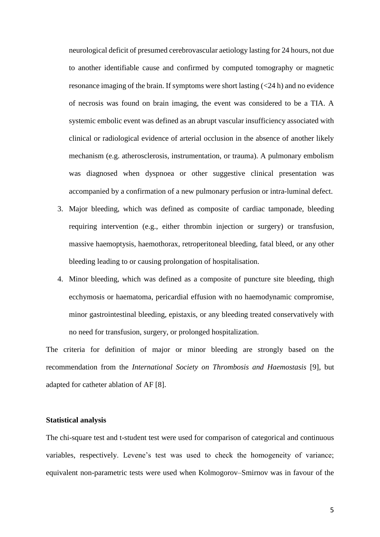neurological deficit of presumed cerebrovascular aetiology lasting for 24 hours, not due to another identifiable cause and confirmed by computed tomography or magnetic resonance imaging of the brain. If symptoms were short lasting (<24 h) and no evidence of necrosis was found on brain imaging, the event was considered to be a TIA. A systemic embolic event was defined as an abrupt vascular insufficiency associated with clinical or radiological evidence of arterial occlusion in the absence of another likely mechanism (e.g. atherosclerosis, instrumentation, or trauma). A pulmonary embolism was diagnosed when dyspnoea or other suggestive clinical presentation was accompanied by a confirmation of a new pulmonary perfusion or intra-luminal defect.

- 3. Major bleeding, which was defined as composite of cardiac tamponade, bleeding requiring intervention (e.g., either thrombin injection or surgery) or transfusion, massive haemoptysis, haemothorax, retroperitoneal bleeding, fatal bleed, or any other bleeding leading to or causing prolongation of hospitalisation.
- 4. Minor bleeding, which was defined as a composite of puncture site bleeding, thigh ecchymosis or haematoma, pericardial effusion with no haemodynamic compromise, minor gastrointestinal bleeding, epistaxis, or any bleeding treated conservatively with no need for transfusion, surgery, or prolonged hospitalization.

The criteria for definition of major or minor bleeding are strongly based on the recommendation from the *International Society on Thrombosis and Haemostasis* [9], but adapted for catheter ablation of AF [8].

#### **Statistical analysis**

The chi-square test and t-student test were used for comparison of categorical and continuous variables, respectively. Levene's test was used to check the homogeneity of variance; equivalent non-parametric tests were used when Kolmogorov–Smirnov was in favour of the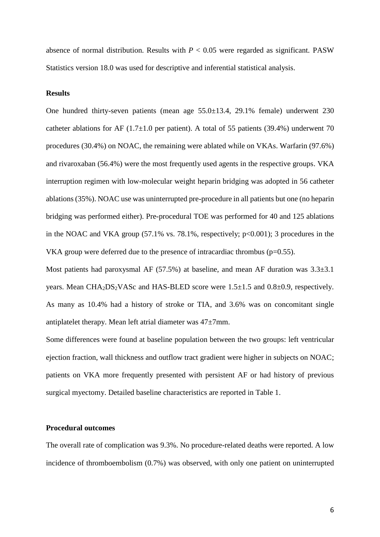absence of normal distribution. Results with  $P < 0.05$  were regarded as significant. PASW Statistics version 18.0 was used for descriptive and inferential statistical analysis.

#### **Results**

One hundred thirty-seven patients (mean age 55.0±13.4, 29.1% female) underwent 230 catheter ablations for AF  $(1.7\pm1.0$  per patient). A total of 55 patients (39.4%) underwent 70 procedures (30.4%) on NOAC, the remaining were ablated while on VKAs. Warfarin (97.6%) and rivaroxaban (56.4%) were the most frequently used agents in the respective groups. VKA interruption regimen with low-molecular weight heparin bridging was adopted in 56 catheter ablations (35%). NOAC use was uninterrupted pre-procedure in all patients but one (no heparin bridging was performed either). Pre-procedural TOE was performed for 40 and 125 ablations in the NOAC and VKA group  $(57.1\% \text{ vs. } 78.1\%$ , respectively;  $p<0.001$ ); 3 procedures in the VKA group were deferred due to the presence of intracardiac thrombus ( $p=0.55$ ).

Most patients had paroxysmal AF (57.5%) at baseline, and mean AF duration was  $3.3\pm3.1$ years. Mean  $CHA<sub>2</sub>DS<sub>2</sub>VASc$  and  $HAS-BLED$  score were 1.5 $\pm$ 1.5 and 0.8 $\pm$ 0.9, respectively. As many as 10.4% had a history of stroke or TIA, and 3.6% was on concomitant single antiplatelet therapy. Mean left atrial diameter was  $47\pm7$ mm.

Some differences were found at baseline population between the two groups: left ventricular ejection fraction, wall thickness and outflow tract gradient were higher in subjects on NOAC; patients on VKA more frequently presented with persistent AF or had history of previous surgical myectomy. Detailed baseline characteristics are reported in Table 1.

## **Procedural outcomes**

The overall rate of complication was 9.3%. No procedure-related deaths were reported. A low incidence of thromboembolism (0.7%) was observed, with only one patient on uninterrupted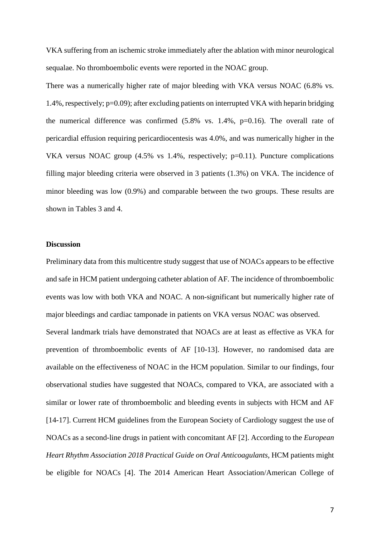VKA suffering from an ischemic stroke immediately after the ablation with minor neurological sequalae. No thromboembolic events were reported in the NOAC group.

There was a numerically higher rate of major bleeding with VKA versus NOAC (6.8% vs. 1.4%, respectively; p=0.09); after excluding patients on interrupted VKA with heparin bridging the numerical difference was confirmed  $(5.8\%$  vs. 1.4%, p=0.16). The overall rate of pericardial effusion requiring pericardiocentesis was 4.0%, and was numerically higher in the VKA versus NOAC group (4.5% vs 1.4%, respectively; p=0.11). Puncture complications filling major bleeding criteria were observed in 3 patients (1.3%) on VKA. The incidence of minor bleeding was low (0.9%) and comparable between the two groups. These results are shown in Tables 3 and 4.

### **Discussion**

Preliminary data from this multicentre study suggest that use of NOACs appears to be effective and safe in HCM patient undergoing catheter ablation of AF. The incidence of thromboembolic events was low with both VKA and NOAC. A non-significant but numerically higher rate of major bleedings and cardiac tamponade in patients on VKA versus NOAC was observed.

Several landmark trials have demonstrated that NOACs are at least as effective as VKA for prevention of thromboembolic events of AF [10-13]. However, no randomised data are available on the effectiveness of NOAC in the HCM population. Similar to our findings, four observational studies have suggested that NOACs, compared to VKA, are associated with a similar or lower rate of thromboembolic and bleeding events in subjects with HCM and AF [14-17]. Current HCM guidelines from the European Society of Cardiology suggest the use of NOACs as a second-line drugs in patient with concomitant AF [2]. According to the *European Heart Rhythm Association 2018 Practical Guide on Oral Anticoagulants*, HCM patients might be eligible for NOACs [4]. The 2014 American Heart Association/American College of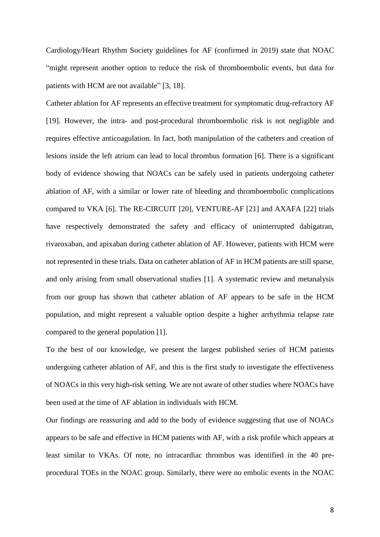Cardiology/Heart Rhythm Society guidelines for AF (confirmed in 2019) state that NOAC "might represent another option to reduce the risk of thromboembolic events, but data for patients with HCM are not available" [3, 18].

Catheter ablation for AF represents an effective treatment for symptomatic drug-refractory AF [19]. However, the intra- and post-procedural thromboembolic risk is not negligible and requires effective anticoagulation. In fact, both manipulation of the catheters and creation of lesions inside the left atrium can lead to local thrombus formation [6]. There is a significant body of evidence showing that NOACs can be safely used in patients undergoing catheter ablation of AF, with a similar or lower rate of bleeding and thromboembolic complications compared to VKA [6]. The RE-CIRCUIT [20], VENTURE-AF [21] and AXAFA [22] trials have respectively demonstrated the safety and efficacy of uninterrupted dabigatran, rivaroxaban, and apixaban during catheter ablation of AF. However, patients with HCM were not represented in these trials. Data on catheter ablation of AF in HCM patients are still sparse, and only arising from small observational studies [1]. A systematic review and metanalysis from our group has shown that catheter ablation of AF appears to be safe in the HCM population, and might represent a valuable option despite a higher arrhythmia relapse rate compared to the general population [1].

To the best of our knowledge, we present the largest published series of HCM patients undergoing catheter ablation of AF, and this is the first study to investigate the effectiveness of NOACs in this very high-risk setting. We are not aware of other studies where NOACs have been used at the time of AF ablation in individuals with HCM.

Our findings are reassuring and add to the body of evidence suggesting that use of NOACs appears to be safe and effective in HCM patients with AF, with a risk profile which appears at least similar to VKAs. Of note, no intracardiac thrombus was identified in the 40 preprocedural TOEs in the NOAC group. Similarly, there were no embolic events in the NOAC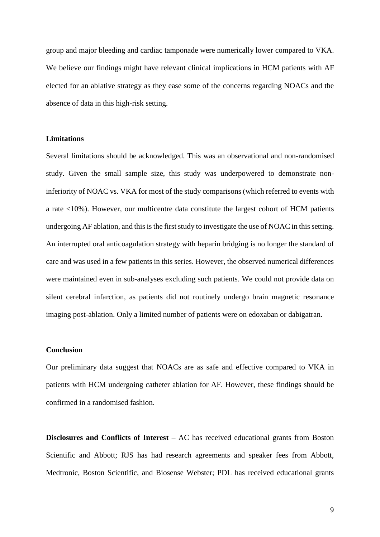group and major bleeding and cardiac tamponade were numerically lower compared to VKA. We believe our findings might have relevant clinical implications in HCM patients with AF elected for an ablative strategy as they ease some of the concerns regarding NOACs and the absence of data in this high-risk setting.

## **Limitations**

Several limitations should be acknowledged. This was an observational and non-randomised study. Given the small sample size, this study was underpowered to demonstrate noninferiority of NOAC vs. VKA for most of the study comparisons (which referred to events with a rate <10%). However, our multicentre data constitute the largest cohort of HCM patients undergoing AF ablation, and this is the first study to investigate the use of NOAC in this setting. An interrupted oral anticoagulation strategy with heparin bridging is no longer the standard of care and was used in a few patients in this series. However, the observed numerical differences were maintained even in sub-analyses excluding such patients. We could not provide data on silent cerebral infarction, as patients did not routinely undergo brain magnetic resonance imaging post-ablation. Only a limited number of patients were on edoxaban or dabigatran.

### **Conclusion**

Our preliminary data suggest that NOACs are as safe and effective compared to VKA in patients with HCM undergoing catheter ablation for AF. However, these findings should be confirmed in a randomised fashion.

**Disclosures and Conflicts of Interest** – AC has received educational grants from Boston Scientific and Abbott; RJS has had research agreements and speaker fees from Abbott, Medtronic, Boston Scientific, and Biosense Webster; PDL has received educational grants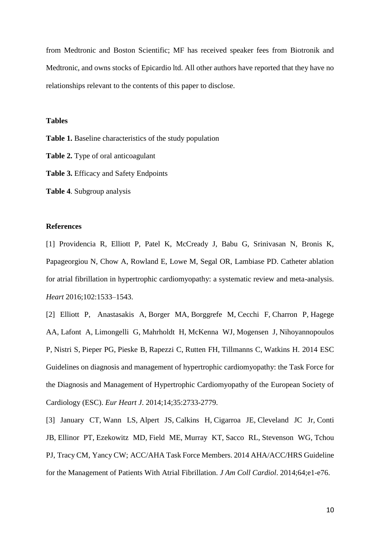from Medtronic and Boston Scientific; MF has received speaker fees from Biotronik and Medtronic, and owns stocks of Epicardio ltd. All other authors have reported that they have no relationships relevant to the contents of this paper to disclose.

## **Tables**

**Table 1.** Baseline characteristics of the study population

**Table 2.** Type of oral anticoagulant

**Table 3.** Efficacy and Safety Endpoints

**Table 4**. Subgroup analysis

## **References**

[1] Providencia R, Elliott P, Patel K, McCready J, Babu G, Srinivasan N, Bronis K, Papageorgiou N, Chow A, Rowland E, Lowe M, Segal OR, Lambiase PD. Catheter ablation for atrial fibrillation in hypertrophic cardiomyopathy: a systematic review and meta-analysis. *Heart* 2016;102:1533–1543.

[2] Elliott P, [Anastasakis A,](https://www.ncbi.nlm.nih.gov/pubmed/?term=Anastasakis%20A%5BAuthor%5D&cauthor=true&cauthor_uid=25173338) [Borger MA,](https://www.ncbi.nlm.nih.gov/pubmed/?term=Borger%20MA%5BAuthor%5D&cauthor=true&cauthor_uid=25173338) [Borggrefe M,](https://www.ncbi.nlm.nih.gov/pubmed/?term=Borggrefe%20M%5BAuthor%5D&cauthor=true&cauthor_uid=25173338) [Cecchi F,](https://www.ncbi.nlm.nih.gov/pubmed/?term=Cecchi%20F%5BAuthor%5D&cauthor=true&cauthor_uid=25173338) [Charron P,](https://www.ncbi.nlm.nih.gov/pubmed/?term=Charron%20P%5BAuthor%5D&cauthor=true&cauthor_uid=25173338) [Hagege](https://www.ncbi.nlm.nih.gov/pubmed/?term=Hagege%20AA%5BAuthor%5D&cauthor=true&cauthor_uid=25173338)  [AA,](https://www.ncbi.nlm.nih.gov/pubmed/?term=Hagege%20AA%5BAuthor%5D&cauthor=true&cauthor_uid=25173338) [Lafont A,](https://www.ncbi.nlm.nih.gov/pubmed/?term=Lafont%20A%5BAuthor%5D&cauthor=true&cauthor_uid=25173338) [Limongelli G,](https://www.ncbi.nlm.nih.gov/pubmed/?term=Limongelli%20G%5BAuthor%5D&cauthor=true&cauthor_uid=25173338) [Mahrholdt H,](https://www.ncbi.nlm.nih.gov/pubmed/?term=Mahrholdt%20H%5BAuthor%5D&cauthor=true&cauthor_uid=25173338) [McKenna WJ,](https://www.ncbi.nlm.nih.gov/pubmed/?term=McKenna%20WJ%5BAuthor%5D&cauthor=true&cauthor_uid=25173338) [Mogensen J,](https://www.ncbi.nlm.nih.gov/pubmed/?term=Mogensen%20J%5BAuthor%5D&cauthor=true&cauthor_uid=25173338) [Nihoyannopoulos](https://www.ncbi.nlm.nih.gov/pubmed/?term=Nihoyannopoulos%20P%5BAuthor%5D&cauthor=true&cauthor_uid=25173338)  [P,](https://www.ncbi.nlm.nih.gov/pubmed/?term=Nihoyannopoulos%20P%5BAuthor%5D&cauthor=true&cauthor_uid=25173338) [Nistri S,](https://www.ncbi.nlm.nih.gov/pubmed/?term=Nistri%20S%5BAuthor%5D&cauthor=true&cauthor_uid=25173338) [Pieper PG,](https://www.ncbi.nlm.nih.gov/pubmed/?term=Pieper%20PG%5BAuthor%5D&cauthor=true&cauthor_uid=25173338) [Pieske B,](https://www.ncbi.nlm.nih.gov/pubmed/?term=Pieske%20B%5BAuthor%5D&cauthor=true&cauthor_uid=25173338) [Rapezzi C,](https://www.ncbi.nlm.nih.gov/pubmed/?term=Rapezzi%20C%5BAuthor%5D&cauthor=true&cauthor_uid=25173338) [Rutten FH,](https://www.ncbi.nlm.nih.gov/pubmed/?term=Rutten%20FH%5BAuthor%5D&cauthor=true&cauthor_uid=25173338) [Tillmanns C,](https://www.ncbi.nlm.nih.gov/pubmed/?term=Tillmanns%20C%5BAuthor%5D&cauthor=true&cauthor_uid=25173338) [Watkins H.](https://www.ncbi.nlm.nih.gov/pubmed/?term=Watkins%20H%5BAuthor%5D&cauthor=true&cauthor_uid=25173338) 2014 ESC Guidelines on diagnosis and management of hypertrophic cardiomyopathy: the Task Force for the Diagnosis and Management of Hypertrophic Cardiomyopathy of the European Society of Cardiology (ESC). *[Eur Heart J](https://www.ncbi.nlm.nih.gov/pubmed/25173338)*. 2014;14;35:2733-2779.

[3] [January CT,](https://www.ncbi.nlm.nih.gov/pubmed/?term=January%20CT%5BAuthor%5D&cauthor=true&cauthor_uid=24682348) [Wann LS,](https://www.ncbi.nlm.nih.gov/pubmed/?term=Wann%20LS%5BAuthor%5D&cauthor=true&cauthor_uid=24682348) [Alpert JS,](https://www.ncbi.nlm.nih.gov/pubmed/?term=Alpert%20JS%5BAuthor%5D&cauthor=true&cauthor_uid=24682348) [Calkins H,](https://www.ncbi.nlm.nih.gov/pubmed/?term=Calkins%20H%5BAuthor%5D&cauthor=true&cauthor_uid=24682348) [Cigarroa JE,](https://www.ncbi.nlm.nih.gov/pubmed/?term=Cigarroa%20JE%5BAuthor%5D&cauthor=true&cauthor_uid=24682348) [Cleveland JC Jr,](https://www.ncbi.nlm.nih.gov/pubmed/?term=Cleveland%20JC%20Jr%5BAuthor%5D&cauthor=true&cauthor_uid=24682348) [Conti](https://www.ncbi.nlm.nih.gov/pubmed/?term=Conti%20JB%5BAuthor%5D&cauthor=true&cauthor_uid=24682348)  [JB,](https://www.ncbi.nlm.nih.gov/pubmed/?term=Conti%20JB%5BAuthor%5D&cauthor=true&cauthor_uid=24682348) [Ellinor PT,](https://www.ncbi.nlm.nih.gov/pubmed/?term=Ellinor%20PT%5BAuthor%5D&cauthor=true&cauthor_uid=24682348) [Ezekowitz MD,](https://www.ncbi.nlm.nih.gov/pubmed/?term=Ezekowitz%20MD%5BAuthor%5D&cauthor=true&cauthor_uid=24682348) [Field ME,](https://www.ncbi.nlm.nih.gov/pubmed/?term=Field%20ME%5BAuthor%5D&cauthor=true&cauthor_uid=24682348) [Murray KT,](https://www.ncbi.nlm.nih.gov/pubmed/?term=Murray%20KT%5BAuthor%5D&cauthor=true&cauthor_uid=24682348) [Sacco RL,](https://www.ncbi.nlm.nih.gov/pubmed/?term=Sacco%20RL%5BAuthor%5D&cauthor=true&cauthor_uid=24682348) [Stevenson WG,](https://www.ncbi.nlm.nih.gov/pubmed/?term=Stevenson%20WG%5BAuthor%5D&cauthor=true&cauthor_uid=24682348) [Tchou](https://www.ncbi.nlm.nih.gov/pubmed/?term=Tchou%20PJ%5BAuthor%5D&cauthor=true&cauthor_uid=24682348)  [PJ,](https://www.ncbi.nlm.nih.gov/pubmed/?term=Tchou%20PJ%5BAuthor%5D&cauthor=true&cauthor_uid=24682348) [Tracy CM,](https://www.ncbi.nlm.nih.gov/pubmed/?term=Tracy%20CM%5BAuthor%5D&cauthor=true&cauthor_uid=24682348) [Yancy CW;](https://www.ncbi.nlm.nih.gov/pubmed/?term=Yancy%20CW%5BAuthor%5D&cauthor=true&cauthor_uid=24682348) [ACC/AHA Task Force Members.](https://www.ncbi.nlm.nih.gov/pubmed/?term=ACC%2FAHA%20Task%20Force%20Members%5BCorporate%20Author%5D) 2014 AHA/ACC/HRS Guideline for the Management of Patients With Atrial Fibrillation. *J Am Coll Cardiol*. 2014;64;e1-e76.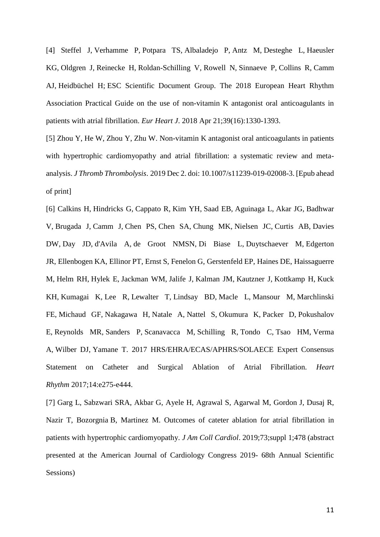[4] [Steffel J,](https://www.ncbi.nlm.nih.gov/pubmed/?term=Steffel%20J%5BAuthor%5D&cauthor=true&cauthor_uid=29562325) [Verhamme P,](https://www.ncbi.nlm.nih.gov/pubmed/?term=Verhamme%20P%5BAuthor%5D&cauthor=true&cauthor_uid=29562325) [Potpara TS,](https://www.ncbi.nlm.nih.gov/pubmed/?term=Potpara%20TS%5BAuthor%5D&cauthor=true&cauthor_uid=29562325) [Albaladejo P,](https://www.ncbi.nlm.nih.gov/pubmed/?term=Albaladejo%20P%5BAuthor%5D&cauthor=true&cauthor_uid=29562325) [Antz M,](https://www.ncbi.nlm.nih.gov/pubmed/?term=Antz%20M%5BAuthor%5D&cauthor=true&cauthor_uid=29562325) [Desteghe L,](https://www.ncbi.nlm.nih.gov/pubmed/?term=Desteghe%20L%5BAuthor%5D&cauthor=true&cauthor_uid=29562325) [Haeusler](https://www.ncbi.nlm.nih.gov/pubmed/?term=Haeusler%20KG%5BAuthor%5D&cauthor=true&cauthor_uid=29562325)  [KG,](https://www.ncbi.nlm.nih.gov/pubmed/?term=Haeusler%20KG%5BAuthor%5D&cauthor=true&cauthor_uid=29562325) [Oldgren J,](https://www.ncbi.nlm.nih.gov/pubmed/?term=Oldgren%20J%5BAuthor%5D&cauthor=true&cauthor_uid=29562325) [Reinecke H,](https://www.ncbi.nlm.nih.gov/pubmed/?term=Reinecke%20H%5BAuthor%5D&cauthor=true&cauthor_uid=29562325) [Roldan-Schilling V,](https://www.ncbi.nlm.nih.gov/pubmed/?term=Roldan-Schilling%20V%5BAuthor%5D&cauthor=true&cauthor_uid=29562325) [Rowell N,](https://www.ncbi.nlm.nih.gov/pubmed/?term=Rowell%20N%5BAuthor%5D&cauthor=true&cauthor_uid=29562325) [Sinnaeve P,](https://www.ncbi.nlm.nih.gov/pubmed/?term=Sinnaeve%20P%5BAuthor%5D&cauthor=true&cauthor_uid=29562325) [Collins R,](https://www.ncbi.nlm.nih.gov/pubmed/?term=Collins%20R%5BAuthor%5D&cauthor=true&cauthor_uid=29562325) [Camm](https://www.ncbi.nlm.nih.gov/pubmed/?term=Camm%20AJ%5BAuthor%5D&cauthor=true&cauthor_uid=29562325)  [AJ,](https://www.ncbi.nlm.nih.gov/pubmed/?term=Camm%20AJ%5BAuthor%5D&cauthor=true&cauthor_uid=29562325) [Heidbüchel H;](https://www.ncbi.nlm.nih.gov/pubmed/?term=Heidb%C3%BCchel%20H%5BAuthor%5D&cauthor=true&cauthor_uid=29562325) [ESC Scientific Document Group.](https://www.ncbi.nlm.nih.gov/pubmed/?term=ESC%20Scientific%20Document%20Group%5BCorporate%20Author%5D) The 2018 European Heart Rhythm Association Practical Guide on the use of non-vitamin K antagonist oral anticoagulants in patients with atrial fibrillation. *[Eur Heart J](https://www.ncbi.nlm.nih.gov/pubmed/29562325)*. 2018 Apr 21;39(16):1330-1393.

[5] [Zhou Y,](https://www.ncbi.nlm.nih.gov/pubmed/?term=Zhou%20Y%5BAuthor%5D&cauthor=true&cauthor_uid=31792707) [He W,](https://www.ncbi.nlm.nih.gov/pubmed/?term=He%20W%5BAuthor%5D&cauthor=true&cauthor_uid=31792707) [Zhou Y,](https://www.ncbi.nlm.nih.gov/pubmed/?term=Zhou%20Y%5BAuthor%5D&cauthor=true&cauthor_uid=31792707) [Zhu W.](https://www.ncbi.nlm.nih.gov/pubmed/?term=Zhu%20W%5BAuthor%5D&cauthor=true&cauthor_uid=31792707) Non-vitamin K antagonist oral anticoagulants in patients with hypertrophic cardiomyopathy and atrial fibrillation: a systematic review and metaanalysis. *[J Thromb Thrombolysis](https://www.ncbi.nlm.nih.gov/pubmed/31792707)*. 2019 Dec 2. doi: 10.1007/s11239-019-02008-3. [Epub ahead of print]

[6] [Calkins H,](https://www.ncbi.nlm.nih.gov/pubmed/?term=Calkins%20H%5BAuthor%5D&cauthor=true&cauthor_uid=28506916) [Hindricks G,](https://www.ncbi.nlm.nih.gov/pubmed/?term=Hindricks%20G%5BAuthor%5D&cauthor=true&cauthor_uid=28506916) [Cappato R,](https://www.ncbi.nlm.nih.gov/pubmed/?term=Cappato%20R%5BAuthor%5D&cauthor=true&cauthor_uid=28506916) [Kim YH,](https://www.ncbi.nlm.nih.gov/pubmed/?term=Kim%20YH%5BAuthor%5D&cauthor=true&cauthor_uid=28506916) [Saad EB,](https://www.ncbi.nlm.nih.gov/pubmed/?term=Saad%20EB%5BAuthor%5D&cauthor=true&cauthor_uid=28506916) [Aguinaga L,](https://www.ncbi.nlm.nih.gov/pubmed/?term=Aguinaga%20L%5BAuthor%5D&cauthor=true&cauthor_uid=28506916) [Akar JG,](https://www.ncbi.nlm.nih.gov/pubmed/?term=Akar%20JG%5BAuthor%5D&cauthor=true&cauthor_uid=28506916) [Badhwar](https://www.ncbi.nlm.nih.gov/pubmed/?term=Badhwar%20V%5BAuthor%5D&cauthor=true&cauthor_uid=28506916)  [V,](https://www.ncbi.nlm.nih.gov/pubmed/?term=Badhwar%20V%5BAuthor%5D&cauthor=true&cauthor_uid=28506916) [Brugada J,](https://www.ncbi.nlm.nih.gov/pubmed/?term=Brugada%20J%5BAuthor%5D&cauthor=true&cauthor_uid=28506916) [Camm J,](https://www.ncbi.nlm.nih.gov/pubmed/?term=Camm%20J%5BAuthor%5D&cauthor=true&cauthor_uid=28506916) [Chen PS,](https://www.ncbi.nlm.nih.gov/pubmed/?term=Chen%20PS%5BAuthor%5D&cauthor=true&cauthor_uid=28506916) [Chen SA,](https://www.ncbi.nlm.nih.gov/pubmed/?term=Chen%20SA%5BAuthor%5D&cauthor=true&cauthor_uid=28506916) [Chung MK,](https://www.ncbi.nlm.nih.gov/pubmed/?term=Chung%20MK%5BAuthor%5D&cauthor=true&cauthor_uid=28506916) [Nielsen JC,](https://www.ncbi.nlm.nih.gov/pubmed/?term=Nielsen%20JC%5BAuthor%5D&cauthor=true&cauthor_uid=28506916) [Curtis AB,](https://www.ncbi.nlm.nih.gov/pubmed/?term=Curtis%20AB%5BAuthor%5D&cauthor=true&cauthor_uid=28506916) [Davies](https://www.ncbi.nlm.nih.gov/pubmed/?term=Davies%20DW%5BAuthor%5D&cauthor=true&cauthor_uid=28506916)  [DW,](https://www.ncbi.nlm.nih.gov/pubmed/?term=Davies%20DW%5BAuthor%5D&cauthor=true&cauthor_uid=28506916) [Day JD,](https://www.ncbi.nlm.nih.gov/pubmed/?term=Day%20JD%5BAuthor%5D&cauthor=true&cauthor_uid=28506916) [d'Avila A,](https://www.ncbi.nlm.nih.gov/pubmed/?term=d) [de Groot NMSN,](https://www.ncbi.nlm.nih.gov/pubmed/?term=de%20Groot%20NMSN%5BAuthor%5D&cauthor=true&cauthor_uid=28506916) [Di Biase L,](https://www.ncbi.nlm.nih.gov/pubmed/?term=Di%20Biase%20L%5BAuthor%5D&cauthor=true&cauthor_uid=28506916) [Duytschaever M,](https://www.ncbi.nlm.nih.gov/pubmed/?term=Duytschaever%20M%5BAuthor%5D&cauthor=true&cauthor_uid=28506916) [Edgerton](https://www.ncbi.nlm.nih.gov/pubmed/?term=Edgerton%20JR%5BAuthor%5D&cauthor=true&cauthor_uid=28506916)  [JR,](https://www.ncbi.nlm.nih.gov/pubmed/?term=Edgerton%20JR%5BAuthor%5D&cauthor=true&cauthor_uid=28506916) [Ellenbogen KA,](https://www.ncbi.nlm.nih.gov/pubmed/?term=Ellenbogen%20KA%5BAuthor%5D&cauthor=true&cauthor_uid=28506916) [Ellinor PT,](https://www.ncbi.nlm.nih.gov/pubmed/?term=Ellinor%20PT%5BAuthor%5D&cauthor=true&cauthor_uid=28506916) [Ernst S,](https://www.ncbi.nlm.nih.gov/pubmed/?term=Ernst%20S%5BAuthor%5D&cauthor=true&cauthor_uid=28506916) [Fenelon G,](https://www.ncbi.nlm.nih.gov/pubmed/?term=Fenelon%20G%5BAuthor%5D&cauthor=true&cauthor_uid=28506916) [Gerstenfeld EP,](https://www.ncbi.nlm.nih.gov/pubmed/?term=Gerstenfeld%20EP%5BAuthor%5D&cauthor=true&cauthor_uid=28506916) [Haines DE,](https://www.ncbi.nlm.nih.gov/pubmed/?term=Haines%20DE%5BAuthor%5D&cauthor=true&cauthor_uid=28506916) [Haissaguerre](https://www.ncbi.nlm.nih.gov/pubmed/?term=Haissaguerre%20M%5BAuthor%5D&cauthor=true&cauthor_uid=28506916)  [M,](https://www.ncbi.nlm.nih.gov/pubmed/?term=Haissaguerre%20M%5BAuthor%5D&cauthor=true&cauthor_uid=28506916) [Helm RH,](https://www.ncbi.nlm.nih.gov/pubmed/?term=Helm%20RH%5BAuthor%5D&cauthor=true&cauthor_uid=28506916) [Hylek E,](https://www.ncbi.nlm.nih.gov/pubmed/?term=Hylek%20E%5BAuthor%5D&cauthor=true&cauthor_uid=28506916) [Jackman WM,](https://www.ncbi.nlm.nih.gov/pubmed/?term=Jackman%20WM%5BAuthor%5D&cauthor=true&cauthor_uid=28506916) [Jalife J,](https://www.ncbi.nlm.nih.gov/pubmed/?term=Jalife%20J%5BAuthor%5D&cauthor=true&cauthor_uid=28506916) [Kalman JM,](https://www.ncbi.nlm.nih.gov/pubmed/?term=Kalman%20JM%5BAuthor%5D&cauthor=true&cauthor_uid=28506916) [Kautzner J,](https://www.ncbi.nlm.nih.gov/pubmed/?term=Kautzner%20J%5BAuthor%5D&cauthor=true&cauthor_uid=28506916) [Kottkamp H,](https://www.ncbi.nlm.nih.gov/pubmed/?term=Kottkamp%20H%5BAuthor%5D&cauthor=true&cauthor_uid=28506916) [Kuck](https://www.ncbi.nlm.nih.gov/pubmed/?term=Kuck%20KH%5BAuthor%5D&cauthor=true&cauthor_uid=28506916)  [KH,](https://www.ncbi.nlm.nih.gov/pubmed/?term=Kuck%20KH%5BAuthor%5D&cauthor=true&cauthor_uid=28506916) [Kumagai K,](https://www.ncbi.nlm.nih.gov/pubmed/?term=Kumagai%20K%5BAuthor%5D&cauthor=true&cauthor_uid=28506916) [Lee R,](https://www.ncbi.nlm.nih.gov/pubmed/?term=Lee%20R%5BAuthor%5D&cauthor=true&cauthor_uid=28506916) [Lewalter T,](https://www.ncbi.nlm.nih.gov/pubmed/?term=Lewalter%20T%5BAuthor%5D&cauthor=true&cauthor_uid=28506916) [Lindsay BD,](https://www.ncbi.nlm.nih.gov/pubmed/?term=Lindsay%20BD%5BAuthor%5D&cauthor=true&cauthor_uid=28506916) [Macle L,](https://www.ncbi.nlm.nih.gov/pubmed/?term=Macle%20L%5BAuthor%5D&cauthor=true&cauthor_uid=28506916) [Mansour M,](https://www.ncbi.nlm.nih.gov/pubmed/?term=Mansour%20M%5BAuthor%5D&cauthor=true&cauthor_uid=28506916) [Marchlinski](https://www.ncbi.nlm.nih.gov/pubmed/?term=Marchlinski%20FE%5BAuthor%5D&cauthor=true&cauthor_uid=28506916)  [FE,](https://www.ncbi.nlm.nih.gov/pubmed/?term=Marchlinski%20FE%5BAuthor%5D&cauthor=true&cauthor_uid=28506916) [Michaud GF,](https://www.ncbi.nlm.nih.gov/pubmed/?term=Michaud%20GF%5BAuthor%5D&cauthor=true&cauthor_uid=28506916) [Nakagawa H,](https://www.ncbi.nlm.nih.gov/pubmed/?term=Nakagawa%20H%5BAuthor%5D&cauthor=true&cauthor_uid=28506916) [Natale A,](https://www.ncbi.nlm.nih.gov/pubmed/?term=Natale%20A%5BAuthor%5D&cauthor=true&cauthor_uid=28506916) [Nattel S,](https://www.ncbi.nlm.nih.gov/pubmed/?term=Nattel%20S%5BAuthor%5D&cauthor=true&cauthor_uid=28506916) [Okumura K,](https://www.ncbi.nlm.nih.gov/pubmed/?term=Okumura%20K%5BAuthor%5D&cauthor=true&cauthor_uid=28506916) [Packer D,](https://www.ncbi.nlm.nih.gov/pubmed/?term=Packer%20D%5BAuthor%5D&cauthor=true&cauthor_uid=28506916) [Pokushalov](https://www.ncbi.nlm.nih.gov/pubmed/?term=Pokushalov%20E%5BAuthor%5D&cauthor=true&cauthor_uid=28506916)  [E,](https://www.ncbi.nlm.nih.gov/pubmed/?term=Pokushalov%20E%5BAuthor%5D&cauthor=true&cauthor_uid=28506916) [Reynolds MR,](https://www.ncbi.nlm.nih.gov/pubmed/?term=Reynolds%20MR%5BAuthor%5D&cauthor=true&cauthor_uid=28506916) [Sanders P,](https://www.ncbi.nlm.nih.gov/pubmed/?term=Sanders%20P%5BAuthor%5D&cauthor=true&cauthor_uid=28506916) [Scanavacca M,](https://www.ncbi.nlm.nih.gov/pubmed/?term=Scanavacca%20M%5BAuthor%5D&cauthor=true&cauthor_uid=28506916) [Schilling R,](https://www.ncbi.nlm.nih.gov/pubmed/?term=Schilling%20R%5BAuthor%5D&cauthor=true&cauthor_uid=28506916) [Tondo C,](https://www.ncbi.nlm.nih.gov/pubmed/?term=Tondo%20C%5BAuthor%5D&cauthor=true&cauthor_uid=28506916) [Tsao HM,](https://www.ncbi.nlm.nih.gov/pubmed/?term=Tsao%20HM%5BAuthor%5D&cauthor=true&cauthor_uid=28506916) [Verma](https://www.ncbi.nlm.nih.gov/pubmed/?term=Verma%20A%5BAuthor%5D&cauthor=true&cauthor_uid=28506916)  [A,](https://www.ncbi.nlm.nih.gov/pubmed/?term=Verma%20A%5BAuthor%5D&cauthor=true&cauthor_uid=28506916) [Wilber DJ,](https://www.ncbi.nlm.nih.gov/pubmed/?term=Wilber%20DJ%5BAuthor%5D&cauthor=true&cauthor_uid=28506916) [Yamane T.](https://www.ncbi.nlm.nih.gov/pubmed/?term=Yamane%20T%5BAuthor%5D&cauthor=true&cauthor_uid=28506916) 2017 HRS/EHRA/ECAS/APHRS/SOLAECE Expert Consensus Statement on Catheter and Surgical Ablation of Atrial Fibrillation. *[Heart](https://www.ncbi.nlm.nih.gov/pubmed/28506916)  [Rhythm](https://www.ncbi.nlm.nih.gov/pubmed/28506916)* 2017;14:e275-e444.

[7] Garg L, Sabzwari SRA, Akbar G, Ayele H, Agrawal S, Agarwal M, Gordon J, Dusaj R, Nazir T, Bozorgnia B, Martinez M. Outcomes of cateter ablation for atrial fibrillation in patients with hypertrophic cardiomyopathy. *[J Am Coll Cardiol](https://www.ncbi.nlm.nih.gov/pubmed/31072579)*. 2019;73;suppl 1;478 (abstract presented at the American Journal of Cardiology Congress 2019- 68th Annual Scientific Sessions)

11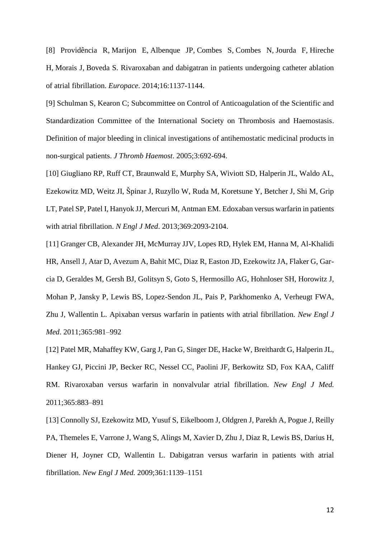[8] [Providência R,](https://www.ncbi.nlm.nih.gov/pubmed/?term=Provid%C3%AAncia%20R%5BAuthor%5D&cauthor=true&cauthor_uid=24550347) [Marijon E,](https://www.ncbi.nlm.nih.gov/pubmed/?term=Marijon%20E%5BAuthor%5D&cauthor=true&cauthor_uid=24550347) [Albenque JP,](https://www.ncbi.nlm.nih.gov/pubmed/?term=Albenque%20JP%5BAuthor%5D&cauthor=true&cauthor_uid=24550347) [Combes S,](https://www.ncbi.nlm.nih.gov/pubmed/?term=Combes%20S%5BAuthor%5D&cauthor=true&cauthor_uid=24550347) [Combes N,](https://www.ncbi.nlm.nih.gov/pubmed/?term=Combes%20N%5BAuthor%5D&cauthor=true&cauthor_uid=24550347) [Jourda F,](https://www.ncbi.nlm.nih.gov/pubmed/?term=Jourda%20F%5BAuthor%5D&cauthor=true&cauthor_uid=24550347) [Hireche](https://www.ncbi.nlm.nih.gov/pubmed/?term=Hireche%20H%5BAuthor%5D&cauthor=true&cauthor_uid=24550347)  [H,](https://www.ncbi.nlm.nih.gov/pubmed/?term=Hireche%20H%5BAuthor%5D&cauthor=true&cauthor_uid=24550347) [Morais J,](https://www.ncbi.nlm.nih.gov/pubmed/?term=Morais%20J%5BAuthor%5D&cauthor=true&cauthor_uid=24550347) [Boveda S.](https://www.ncbi.nlm.nih.gov/pubmed/?term=Boveda%20S%5BAuthor%5D&cauthor=true&cauthor_uid=24550347) Rivaroxaban and dabigatran in patients undergoing catheter ablation of atrial fibrillation. *[Europace](https://www.ncbi.nlm.nih.gov/pubmed/24550347)*. 2014;16:1137-1144.

[9] [Schulman S,](https://www.ncbi.nlm.nih.gov/pubmed/?term=Schulman%20S%5BAuthor%5D&cauthor=true&cauthor_uid=15842354) [Kearon C;](https://www.ncbi.nlm.nih.gov/pubmed/?term=Kearon%20C%5BAuthor%5D&cauthor=true&cauthor_uid=15842354) [Subcommittee on Control of Anticoagulation of the Scientific and](https://www.ncbi.nlm.nih.gov/pubmed/?term=Subcommittee%20on%20Control%20of%20Anticoagulation%20of%20the%20Scientific%20and%20Standardization%20Committee%20of%20the%20International%20Society%20on%20Thrombosis%20and%20Haemostasis%5BCorporate%20Author%5D)  [Standardization Committee of the International Society on Thrombosis and Haemostasis.](https://www.ncbi.nlm.nih.gov/pubmed/?term=Subcommittee%20on%20Control%20of%20Anticoagulation%20of%20the%20Scientific%20and%20Standardization%20Committee%20of%20the%20International%20Society%20on%20Thrombosis%20and%20Haemostasis%5BCorporate%20Author%5D) Definition of major bleeding in clinical investigations of antihemostatic medicinal products in non-surgical patients. *[J Thromb Haemost](https://www.ncbi.nlm.nih.gov/pubmed/15842354?dopt=Abstract)*. 2005;3:692-694.

[10] Giugliano RP, Ruff CT, Braunwald E, Murphy SA, Wiviott SD, Halperin JL, Waldo AL, Ezekowitz MD, Weitz JI, Špinar J, Ruzyllo W, Ruda M, Koretsune Y, Betcher J, Shi M, Grip LT, Patel SP, Patel I, Hanyok JJ, Mercuri M, Antman EM. Edoxaban versus warfarin in patients with atrial fibrillation. *[N Engl J Med](https://www.ncbi.nlm.nih.gov/pubmed/24251359)*. 2013;369:2093-2104.

[11] Granger CB, Alexander JH, McMurray JJV, Lopes RD, Hylek EM, Hanna M, Al-Khalidi HR, Ansell J, Atar D, Avezum A, Bahit MC, Diaz R, Easton JD, Ezekowitz JA, Flaker G, Garcia D, Geraldes M, Gersh BJ, Golitsyn S, Goto S, Hermosillo AG, Hohnloser SH, Horowitz J, Mohan P, Jansky P, Lewis BS, Lopez-Sendon JL, Pais P, Parkhomenko A, Verheugt FWA, Zhu J, Wallentin L. Apixaban versus warfarin in patients with atrial fibrillation. *New Engl J Med*. 2011;365:981–992

[12] Patel MR, Mahaffey KW, Garg J, Pan G, Singer DE, Hacke W, Breithardt G, Halperin JL, Hankey GJ, Piccini JP, Becker RC, Nessel CC, Paolini JF, Berkowitz SD, Fox KAA, Califf RM. Rivaroxaban versus warfarin in nonvalvular atrial fibrillation. *New Engl J Med.* 2011;365:883–891

[13] Connolly SJ, Ezekowitz MD, Yusuf S, Eikelboom J, Oldgren J, Parekh A, Pogue J, Reilly PA, Themeles E, Varrone J, Wang S, Alings M, Xavier D, Zhu J, Diaz R, Lewis BS, Darius H, Diener H, Joyner CD, Wallentin L. Dabigatran versus warfarin in patients with atrial fibrillation. *New Engl J Med.* 2009;361:1139–1151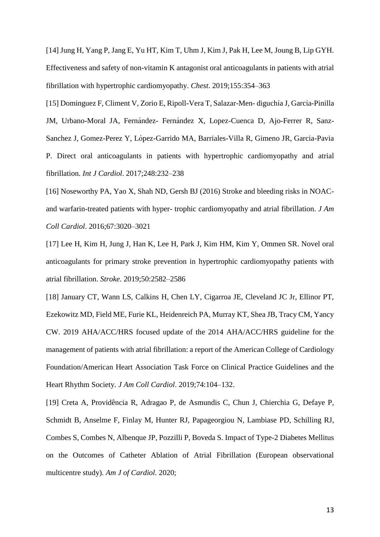[14] Jung H, Yang P, Jang E, Yu HT, Kim T, Uhm J, Kim J, Pak H, Lee M, Joung B, Lip GYH. Effectiveness and safety of non-vitamin K antagonist oral anticoagulants in patients with atrial fibrillation with hypertrophic cardiomyopathy. *Chest*. 2019;155:354–363

[15] Dominguez F, Climent V, Zorio E, Ripoll-Vera T, Salazar-Men- diguchía J, García-Pinilla JM, Urbano-Moral JA, Fernández- Fernández X, Lopez-Cuenca D, Ajo-Ferrer R, Sanz-Sanchez J, Gomez-Perez Y, López-Garrido MA, Barriales-Villa R, Gimeno JR, Garcia-Pavia P. Direct oral anticoagulants in patients with hypertrophic cardiomyopathy and atrial fibrillation. *Int J Cardiol*. 2017;248:232–238

[16] Noseworthy PA, Yao X, Shah ND, Gersh BJ (2016) Stroke and bleeding risks in NOACand warfarin-treated patients with hyper- trophic cardiomyopathy and atrial fibrillation. *J Am Coll Cardiol*. 2016;67:3020–3021

[17] Lee H, Kim H, Jung J, Han K, Lee H, Park J, Kim HM, Kim Y, Ommen SR. Novel oral anticoagulants for primary stroke prevention in hypertrophic cardiomyopathy patients with atrial fibrillation. *Stroke*. 2019;50:2582–2586

[18] January CT, Wann LS, Calkins H, Chen LY, Cigarroa JE, Cleveland JC Jr, Ellinor PT, Ezekowitz MD, Field ME, Furie KL, Heidenreich PA, Murray KT, Shea JB, Tracy CM, Yancy CW. 2019 AHA/ACC/HRS focused update of the 2014 AHA/ACC/HRS guideline for the management of patients with atrial fibrillation: a report of the American College of Cardiology Foundation/American Heart Association Task Force on Clinical Practice Guidelines and the Heart Rhythm Society. *J Am Coll Cardiol*. 2019;74:104–132.

[19] Creta A, Providência R, Adragao P, de Asmundis C, Chun J, Chierchia G, Defaye P, Schmidt B, Anselme F, Finlay M, Hunter RJ, Papageorgiou N, Lambiase PD, Schilling RJ, Combes S, Combes N, Albenque JP, Pozzilli P, Boveda S. Impact of Type-2 Diabetes Mellitus on the Outcomes of Catheter Ablation of Atrial Fibrillation (European observational multicentre study). *Am J of Cardiol.* 2020;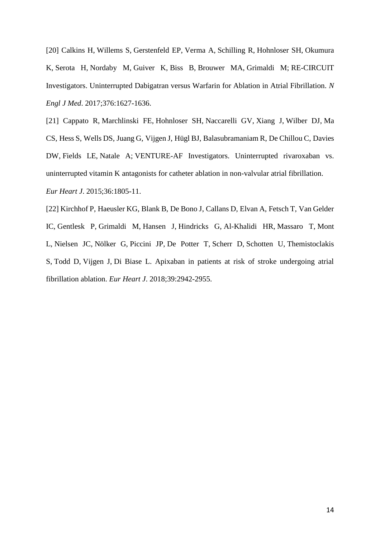[20] [Calkins H,](https://www.ncbi.nlm.nih.gov/pubmed/?term=Calkins%20H%5BAuthor%5D&cauthor=true&cauthor_uid=28317415) [Willems S,](https://www.ncbi.nlm.nih.gov/pubmed/?term=Willems%20S%5BAuthor%5D&cauthor=true&cauthor_uid=28317415) [Gerstenfeld EP,](https://www.ncbi.nlm.nih.gov/pubmed/?term=Gerstenfeld%20EP%5BAuthor%5D&cauthor=true&cauthor_uid=28317415) [Verma A,](https://www.ncbi.nlm.nih.gov/pubmed/?term=Verma%20A%5BAuthor%5D&cauthor=true&cauthor_uid=28317415) [Schilling R,](https://www.ncbi.nlm.nih.gov/pubmed/?term=Schilling%20R%5BAuthor%5D&cauthor=true&cauthor_uid=28317415) [Hohnloser SH,](https://www.ncbi.nlm.nih.gov/pubmed/?term=Hohnloser%20SH%5BAuthor%5D&cauthor=true&cauthor_uid=28317415) [Okumura](https://www.ncbi.nlm.nih.gov/pubmed/?term=Okumura%20K%5BAuthor%5D&cauthor=true&cauthor_uid=28317415)  [K,](https://www.ncbi.nlm.nih.gov/pubmed/?term=Okumura%20K%5BAuthor%5D&cauthor=true&cauthor_uid=28317415) [Serota H,](https://www.ncbi.nlm.nih.gov/pubmed/?term=Serota%20H%5BAuthor%5D&cauthor=true&cauthor_uid=28317415) [Nordaby M,](https://www.ncbi.nlm.nih.gov/pubmed/?term=Nordaby%20M%5BAuthor%5D&cauthor=true&cauthor_uid=28317415) [Guiver K,](https://www.ncbi.nlm.nih.gov/pubmed/?term=Guiver%20K%5BAuthor%5D&cauthor=true&cauthor_uid=28317415) [Biss B,](https://www.ncbi.nlm.nih.gov/pubmed/?term=Biss%20B%5BAuthor%5D&cauthor=true&cauthor_uid=28317415) [Brouwer MA,](https://www.ncbi.nlm.nih.gov/pubmed/?term=Brouwer%20MA%5BAuthor%5D&cauthor=true&cauthor_uid=28317415) [Grimaldi M;](https://www.ncbi.nlm.nih.gov/pubmed/?term=Grimaldi%20M%5BAuthor%5D&cauthor=true&cauthor_uid=28317415) [RE-CIRCUIT](https://www.ncbi.nlm.nih.gov/pubmed/?term=RE-CIRCUIT%20Investigators%5BCorporate%20Author%5D)  [Investigators.](https://www.ncbi.nlm.nih.gov/pubmed/?term=RE-CIRCUIT%20Investigators%5BCorporate%20Author%5D) Uninterrupted Dabigatran versus Warfarin for Ablation in Atrial Fibrillation. *[N](https://www.ncbi.nlm.nih.gov/pubmed/28317415)  [Engl J Med](https://www.ncbi.nlm.nih.gov/pubmed/28317415)*. 2017;376:1627-1636.

[21] [Cappato R,](https://www.ncbi.nlm.nih.gov/pubmed/?term=Cappato%20R%5BAuthor%5D&cauthor=true&cauthor_uid=25975659) [Marchlinski FE,](https://www.ncbi.nlm.nih.gov/pubmed/?term=Marchlinski%20FE%5BAuthor%5D&cauthor=true&cauthor_uid=25975659) [Hohnloser SH,](https://www.ncbi.nlm.nih.gov/pubmed/?term=Hohnloser%20SH%5BAuthor%5D&cauthor=true&cauthor_uid=25975659) [Naccarelli GV,](https://www.ncbi.nlm.nih.gov/pubmed/?term=Naccarelli%20GV%5BAuthor%5D&cauthor=true&cauthor_uid=25975659) [Xiang J,](https://www.ncbi.nlm.nih.gov/pubmed/?term=Xiang%20J%5BAuthor%5D&cauthor=true&cauthor_uid=25975659) [Wilber DJ,](https://www.ncbi.nlm.nih.gov/pubmed/?term=Wilber%20DJ%5BAuthor%5D&cauthor=true&cauthor_uid=25975659) [Ma](https://www.ncbi.nlm.nih.gov/pubmed/?term=Ma%20CS%5BAuthor%5D&cauthor=true&cauthor_uid=25975659)  [CS,](https://www.ncbi.nlm.nih.gov/pubmed/?term=Ma%20CS%5BAuthor%5D&cauthor=true&cauthor_uid=25975659) [Hess S,](https://www.ncbi.nlm.nih.gov/pubmed/?term=Hess%20S%5BAuthor%5D&cauthor=true&cauthor_uid=25975659) [Wells DS,](https://www.ncbi.nlm.nih.gov/pubmed/?term=Wells%20DS%5BAuthor%5D&cauthor=true&cauthor_uid=25975659) [Juang G,](https://www.ncbi.nlm.nih.gov/pubmed/?term=Juang%20G%5BAuthor%5D&cauthor=true&cauthor_uid=25975659) [Vijgen J,](https://www.ncbi.nlm.nih.gov/pubmed/?term=Vijgen%20J%5BAuthor%5D&cauthor=true&cauthor_uid=25975659) [Hügl BJ,](https://www.ncbi.nlm.nih.gov/pubmed/?term=H%C3%BCgl%20BJ%5BAuthor%5D&cauthor=true&cauthor_uid=25975659) [Balasubramaniam R,](https://www.ncbi.nlm.nih.gov/pubmed/?term=Balasubramaniam%20R%5BAuthor%5D&cauthor=true&cauthor_uid=25975659) [De Chillou C,](https://www.ncbi.nlm.nih.gov/pubmed/?term=De%20Chillou%20C%5BAuthor%5D&cauthor=true&cauthor_uid=25975659) [Davies](https://www.ncbi.nlm.nih.gov/pubmed/?term=Davies%20DW%5BAuthor%5D&cauthor=true&cauthor_uid=25975659)  [DW,](https://www.ncbi.nlm.nih.gov/pubmed/?term=Davies%20DW%5BAuthor%5D&cauthor=true&cauthor_uid=25975659) [Fields LE,](https://www.ncbi.nlm.nih.gov/pubmed/?term=Fields%20LE%5BAuthor%5D&cauthor=true&cauthor_uid=25975659) [Natale A;](https://www.ncbi.nlm.nih.gov/pubmed/?term=Natale%20A%5BAuthor%5D&cauthor=true&cauthor_uid=25975659) [VENTURE-AF Investigators.](https://www.ncbi.nlm.nih.gov/pubmed/?term=VENTURE-AF%20Investigators%5BCorporate%20Author%5D) Uninterrupted rivaroxaban vs. uninterrupted vitamin K antagonists for catheter ablation in non-valvular atrial fibrillation. *[Eur Heart J](https://www.ncbi.nlm.nih.gov/pubmed/25975659)*. 2015;36:1805-11.

[22[\] Kirchhof P,](https://www.ncbi.nlm.nih.gov/pubmed/?term=Kirchhof%20P%5BAuthor%5D&cauthor=true&cauthor_uid=29579168) [Haeusler KG,](https://www.ncbi.nlm.nih.gov/pubmed/?term=Haeusler%20KG%5BAuthor%5D&cauthor=true&cauthor_uid=29579168) [Blank B,](https://www.ncbi.nlm.nih.gov/pubmed/?term=Blank%20B%5BAuthor%5D&cauthor=true&cauthor_uid=29579168) [De Bono J,](https://www.ncbi.nlm.nih.gov/pubmed/?term=De%20Bono%20J%5BAuthor%5D&cauthor=true&cauthor_uid=29579168) [Callans D,](https://www.ncbi.nlm.nih.gov/pubmed/?term=Callans%20D%5BAuthor%5D&cauthor=true&cauthor_uid=29579168) [Elvan A,](https://www.ncbi.nlm.nih.gov/pubmed/?term=Elvan%20A%5BAuthor%5D&cauthor=true&cauthor_uid=29579168) [Fetsch T,](https://www.ncbi.nlm.nih.gov/pubmed/?term=Fetsch%20T%5BAuthor%5D&cauthor=true&cauthor_uid=29579168) [Van Gelder](https://www.ncbi.nlm.nih.gov/pubmed/?term=Van%20Gelder%20IC%5BAuthor%5D&cauthor=true&cauthor_uid=29579168)  [IC,](https://www.ncbi.nlm.nih.gov/pubmed/?term=Van%20Gelder%20IC%5BAuthor%5D&cauthor=true&cauthor_uid=29579168) [Gentlesk P,](https://www.ncbi.nlm.nih.gov/pubmed/?term=Gentlesk%20P%5BAuthor%5D&cauthor=true&cauthor_uid=29579168) [Grimaldi M,](https://www.ncbi.nlm.nih.gov/pubmed/?term=Grimaldi%20M%5BAuthor%5D&cauthor=true&cauthor_uid=29579168) [Hansen J,](https://www.ncbi.nlm.nih.gov/pubmed/?term=Hansen%20J%5BAuthor%5D&cauthor=true&cauthor_uid=29579168) [Hindricks G,](https://www.ncbi.nlm.nih.gov/pubmed/?term=Hindricks%20G%5BAuthor%5D&cauthor=true&cauthor_uid=29579168) [Al-Khalidi HR,](https://www.ncbi.nlm.nih.gov/pubmed/?term=Al-Khalidi%20HR%5BAuthor%5D&cauthor=true&cauthor_uid=29579168) [Massaro T,](https://www.ncbi.nlm.nih.gov/pubmed/?term=Massaro%20T%5BAuthor%5D&cauthor=true&cauthor_uid=29579168) [Mont](https://www.ncbi.nlm.nih.gov/pubmed/?term=Mont%20L%5BAuthor%5D&cauthor=true&cauthor_uid=29579168)  [L,](https://www.ncbi.nlm.nih.gov/pubmed/?term=Mont%20L%5BAuthor%5D&cauthor=true&cauthor_uid=29579168) [Nielsen JC,](https://www.ncbi.nlm.nih.gov/pubmed/?term=Nielsen%20JC%5BAuthor%5D&cauthor=true&cauthor_uid=29579168) [Nölker G,](https://www.ncbi.nlm.nih.gov/pubmed/?term=N%C3%B6lker%20G%5BAuthor%5D&cauthor=true&cauthor_uid=29579168) [Piccini JP,](https://www.ncbi.nlm.nih.gov/pubmed/?term=Piccini%20JP%5BAuthor%5D&cauthor=true&cauthor_uid=29579168) [De Potter T,](https://www.ncbi.nlm.nih.gov/pubmed/?term=De%20Potter%20T%5BAuthor%5D&cauthor=true&cauthor_uid=29579168) [Scherr D,](https://www.ncbi.nlm.nih.gov/pubmed/?term=Scherr%20D%5BAuthor%5D&cauthor=true&cauthor_uid=29579168) [Schotten U,](https://www.ncbi.nlm.nih.gov/pubmed/?term=Schotten%20U%5BAuthor%5D&cauthor=true&cauthor_uid=29579168) [Themistoclakis](https://www.ncbi.nlm.nih.gov/pubmed/?term=Themistoclakis%20S%5BAuthor%5D&cauthor=true&cauthor_uid=29579168)  [S,](https://www.ncbi.nlm.nih.gov/pubmed/?term=Themistoclakis%20S%5BAuthor%5D&cauthor=true&cauthor_uid=29579168) [Todd D,](https://www.ncbi.nlm.nih.gov/pubmed/?term=Todd%20D%5BAuthor%5D&cauthor=true&cauthor_uid=29579168) [Vijgen J,](https://www.ncbi.nlm.nih.gov/pubmed/?term=Vijgen%20J%5BAuthor%5D&cauthor=true&cauthor_uid=29579168) [Di Biase L.](https://www.ncbi.nlm.nih.gov/pubmed/?term=Di%20Biase%20L%5BAuthor%5D&cauthor=true&cauthor_uid=29579168) Apixaban in patients at risk of stroke undergoing atrial fibrillation ablation. *[Eur Heart J](https://www.ncbi.nlm.nih.gov/pubmed/29579168)*. 2018;39:2942-2955.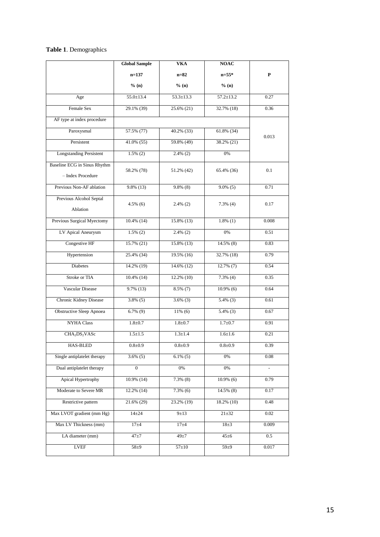# **Table 1**. Demographics

|                                                   | <b>Global Sample</b> | <b>VKA</b>      | <b>NOAC</b>     |       |
|---------------------------------------------------|----------------------|-----------------|-----------------|-------|
|                                                   | $n=137$              | $n=82$          | $n = 55*$       | P     |
|                                                   | % (n)                | % (n)           | % (n)           |       |
| Age                                               | $55.0 \pm 13.4$      | $53.3 \pm 13.3$ | $57.2 \pm 13.2$ | 0.27  |
| Female Sex                                        | 29.1% (39)           | 25.6% (21)      | 32.7% (18)      | 0.36  |
| AF type at index procedure                        |                      |                 |                 |       |
| Paroxysmal                                        | 57.5% (77)           | $40.2\%$ (33)   | $61.8\%$ (34)   | 0.013 |
| Persistent                                        | 41.0% (55)           | 59.8% (49)      | 38.2% (21)      |       |
| <b>Longstanding Persistent</b>                    | $1.5\%$ (2)          | $2.4\%$ (2)     | 0%              |       |
| Baseline ECG in Sinus Rhythm<br>- Index Procedure | 58.2% (78)           | 51.2% (42)      | 65.4% (36)      | 0.1   |
| Previous Non-AF ablation                          | $9.8\%$ (13)         | $9.8\%$ (8)     | $9.0\%$ (5)     | 0.71  |
| Previous Alcohol Septal<br>Ablation               | $4.5\%$ (6)          | $2.4\%$ (2)     | $7.3\%$ (4)     | 0.17  |
| Previous Surgical Myectomy                        | $10.4\%$ (14)        | 15.8% (13)      | $1.8\%$ (1)     | 0.008 |
| LV Apical Aneurysm                                | $1.5\%$ (2)          | $2.4\%$ (2)     | 0%              | 0.51  |
| Congestive HF                                     | $15.7\%$ (21)        | $15.8\%$ (13)   | $14.5\%$ (8)    | 0.83  |
| Hypertension                                      | 25.4% (34)           | 19.5% (16)      | 32.7% (18)      | 0.79  |
| <b>Diabetes</b>                                   | 14.2% (19)           | 14.6% (12)      | $12.7\%$ (7)    | 0.54  |
| Stroke or TIA                                     | $10.4\%$ (14)        | $12.2\%$ (10)   | $7.3\%$ (4)     | 0.35  |
| Vascular Disease                                  | $9.7\%$ (13)         | $8.5\%$ (7)     | $10.9\%$ (6)    | 0.64  |
| Chronic Kidney Disease                            | $3.8\%$ (5)          | $3.6\%$ (3)     | $5.4\%$ (3)     | 0.61  |
| <b>Obstructive Sleep Apnoea</b>                   | $6.7\%$ (9)          | $11\%$ (6)      | $5.4\%$ (3)     | 0.67  |
| <b>NYHA Class</b>                                 | $1.8 + 0.7$          | $1.8 \pm 0.7$   | $1.7 \pm 0.7$   | 0.91  |
| CHA <sub>2</sub> DS <sub>2</sub> VASc             | $1.5 \pm 1.5$        | $1.3 \pm 1.4$   | $1.6 \pm 1.6$   | 0.21  |
| <b>HAS-BLED</b>                                   | $0.8 + 0.9$          | $0.8 + 0.9$     | $0.8 + 0.9$     | 0.39  |
| Single antiplatelet therapy                       | $3.6\%$ (5)          | $6.1\%$ (5)     | 0%              | 0.08  |
| Dual antiplatelet therapy                         | $\overline{0}$       | $0\%$           | 0%              |       |
| Apical Hypertrophy                                | $10.9\%$ (14)        | $7.3\%$ (8)     | $10.9\%$ (6)    | 0.79  |
| Moderate to Severe MR                             | $12.2\%$ (14)        | $7.3\%$ (6)     | $14.5\%$ (8)    | 0.17  |
| Restrictive pattern                               | 21.6% (29)           | 23.2% (19)      | 18.2% (10)      | 0.48  |
| Max LVOT gradient (mm Hg)                         | $14 + 24$            | 9±13            | $21 \pm 32$     | 0.02  |
| Max LV Thickness (mm)                             | $17\pm4$             | $17\pm4$        | $18 + 3$        | 0.009 |
| LA diameter (mm)                                  | $47\pm7$             | $49\pm7$        | $45\pm 6$       | 0.5   |
| LVEF                                              | $58\pm9$             | $57{\pm}10$     | $59\pm9$        | 0.017 |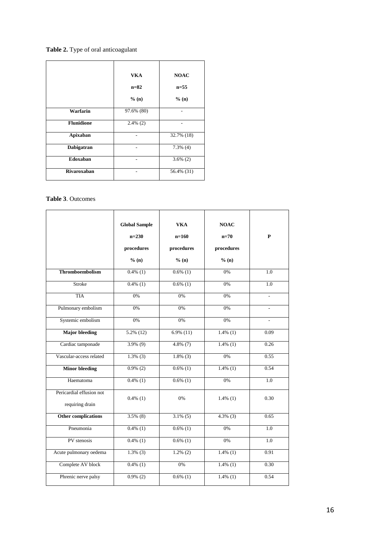# **Table 2.** Type of oral anticoagulant

|                    | <b>VKA</b>  | <b>NOAC</b> |
|--------------------|-------------|-------------|
|                    | $n=82$      | $n = 55$    |
|                    | % (n)       | % (n)       |
| Warfarin           | 97.6% (80)  |             |
| <b>Flunidione</b>  | $2.4\%$ (2) |             |
| Apixaban           |             | 32.7% (18)  |
| Dabigatran         |             | $7.3\%$ (4) |
| Edoxaban           |             | $3.6\%$ (2) |
| <b>Rivaroxaban</b> |             | 56.4% (31)  |

#### **Table 3**. Outcomes

|                                             | <b>Global Sample</b><br>$n=230$<br>procedures<br>% (n) | <b>VKA</b><br>$n=160$<br>procedures<br>% (n) | <b>NOAC</b><br>$n=70$<br>procedures<br>% (n) | $\mathbf{P}$             |
|---------------------------------------------|--------------------------------------------------------|----------------------------------------------|----------------------------------------------|--------------------------|
| <b>Thromboembolism</b>                      | $0.4\%$ (1)                                            | $0.6\%$ (1)                                  | 0%                                           | 1.0                      |
| Stroke                                      | $0.4\%$ (1)                                            | $0.6\%$ (1)                                  | 0%                                           | 1.0                      |
| <b>TIA</b>                                  | 0%                                                     | 0%                                           | 0%                                           | $\overline{a}$           |
| Pulmonary embolism                          | 0%                                                     | 0%                                           | 0%                                           | $\mathcal{L}$            |
| Systemic embolism                           | $0\%$                                                  | 0%                                           | 0%                                           | $\overline{\phantom{a}}$ |
| <b>Major</b> bleeding                       | $5.2\%$ (12)                                           | $6.9\%$ (11)                                 | $1.4\%$ (1)                                  | 0.09                     |
| Cardiac tamponade                           | $3.9\%$ (9)                                            | $4.8\%$ (7)                                  | $1.4\%$ (1)                                  | 0.26                     |
| Vascular-access related                     | $1.3\%$ (3)                                            | $1.8\%$ (3)                                  | 0%                                           | 0.55                     |
| <b>Minor bleeding</b>                       | $0.9\%$ (2)                                            | $0.6\%$ (1)                                  | $1.4\%$ (1)                                  | 0.54                     |
| Haematoma                                   | $\overline{0.4\% (1)}$                                 | $0.6\%$ (1)                                  | 0%                                           | 1.0                      |
| Pericardial effusion not<br>requiring drain | $0.4\%$ (1)                                            | 0%                                           | $1.4\%$ (1)                                  | 0.30                     |
| <b>Other complications</b>                  | $3.5\%$ (8)                                            | $3.1\%$ (5)                                  | $4.3\%$ (3)                                  | 0.65                     |
| Pneumonia                                   | $0.4\%$ (1)                                            | $0.6\%$ (1)                                  | 0%                                           | 1.0                      |
| PV stenosis                                 | $0.4\%$ (1)                                            | $0.6\%$ (1)                                  | 0%                                           | 1.0                      |
| Acute pulmonary oedema                      | $1.3\%$ (3)                                            | $1.2\%$ (2)                                  | $1.4\%$ (1)                                  | 0.91                     |
| Complete AV block                           | $0.4\%$ (1)                                            | 0%                                           | $1.4\%$ (1)                                  | 0.30                     |
| Phrenic nerve palsy                         | $0.9\%$ (2)                                            | $0.6\%$ (1)                                  | $1.4\%$ (1)                                  | 0.54                     |